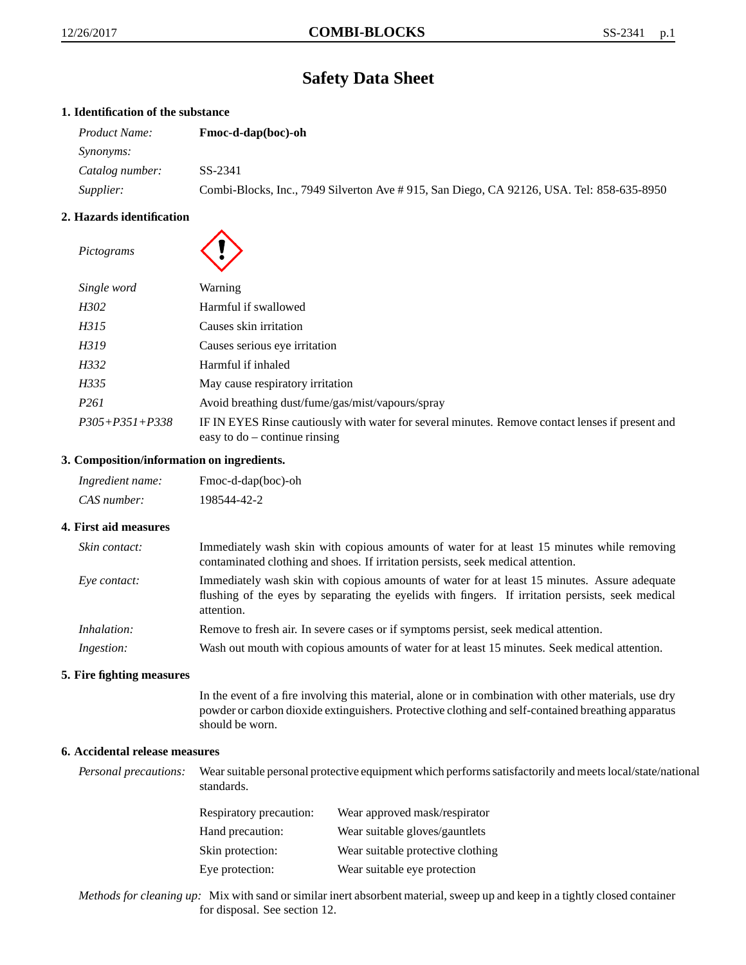# **Safety Data Sheet**

# **1. Identification of the substance**

| <i>Product Name:</i> | <b>Fmoc-d-dap(boc)-oh</b>                                                                 |  |
|----------------------|-------------------------------------------------------------------------------------------|--|
| <i>Synonyms:</i>     |                                                                                           |  |
| Catalog number:      | SS-2341                                                                                   |  |
| Supplier:            | Combi-Blocks, Inc., 7949 Silverton Ave # 915, San Diego, CA 92126, USA. Tel: 858-635-8950 |  |

# **2. Hazards identification**

| Pictograms           |                                                                                                                                     |
|----------------------|-------------------------------------------------------------------------------------------------------------------------------------|
| Single word          | Warning                                                                                                                             |
| H302                 | Harmful if swallowed                                                                                                                |
| H315                 | Causes skin irritation                                                                                                              |
| H319                 | Causes serious eye irritation                                                                                                       |
| H332                 | Harmful if inhaled                                                                                                                  |
| H335                 | May cause respiratory irritation                                                                                                    |
| P <sub>261</sub>     | Avoid breathing dust/fume/gas/mist/vapours/spray                                                                                    |
| $P305 + P351 + P338$ | IF IN EYES Rinse cautiously with water for several minutes. Remove contact lenses if present and<br>easy to $do$ – continue rinsing |

# **3. Composition/information on ingredients.**

| Ingredient name: | Fmoc-d-dap(boc)-oh |
|------------------|--------------------|
| CAS number:      | 198544-42-2        |

## **4. First aid measures**

| Skin contact:      | Immediately wash skin with copious amounts of water for at least 15 minutes while removing<br>contaminated clothing and shoes. If irritation persists, seek medical attention.                                  |  |
|--------------------|-----------------------------------------------------------------------------------------------------------------------------------------------------------------------------------------------------------------|--|
| Eye contact:       | Immediately wash skin with copious amounts of water for at least 15 minutes. Assure adequate<br>flushing of the eyes by separating the eyelids with fingers. If irritation persists, seek medical<br>attention. |  |
| <i>Inhalation:</i> | Remove to fresh air. In severe cases or if symptoms persist, seek medical attention.                                                                                                                            |  |
| Ingestion:         | Wash out mouth with copious amounts of water for at least 15 minutes. Seek medical attention.                                                                                                                   |  |

## **5. Fire fighting measures**

In the event of a fire involving this material, alone or in combination with other materials, use dry powder or carbon dioxide extinguishers. Protective clothing and self-contained breathing apparatus should be worn.

# **6. Accidental release measures**

*Personal precautions:* Wear suitable personal protective equipment which performs satisfactorily and meets local/state/national standards.

| <b>Respiratory precaution:</b> | Wear approved mask/respirator     |
|--------------------------------|-----------------------------------|
| Hand precaution:               | Wear suitable gloves/gauntlets    |
| Skin protection:               | Wear suitable protective clothing |
| Eye protection:                | Wear suitable eye protection      |

*Methods for cleaning up:* Mix with sand or similar inert absorbent material, sweep up and keep in a tightly closed container for disposal. See section 12.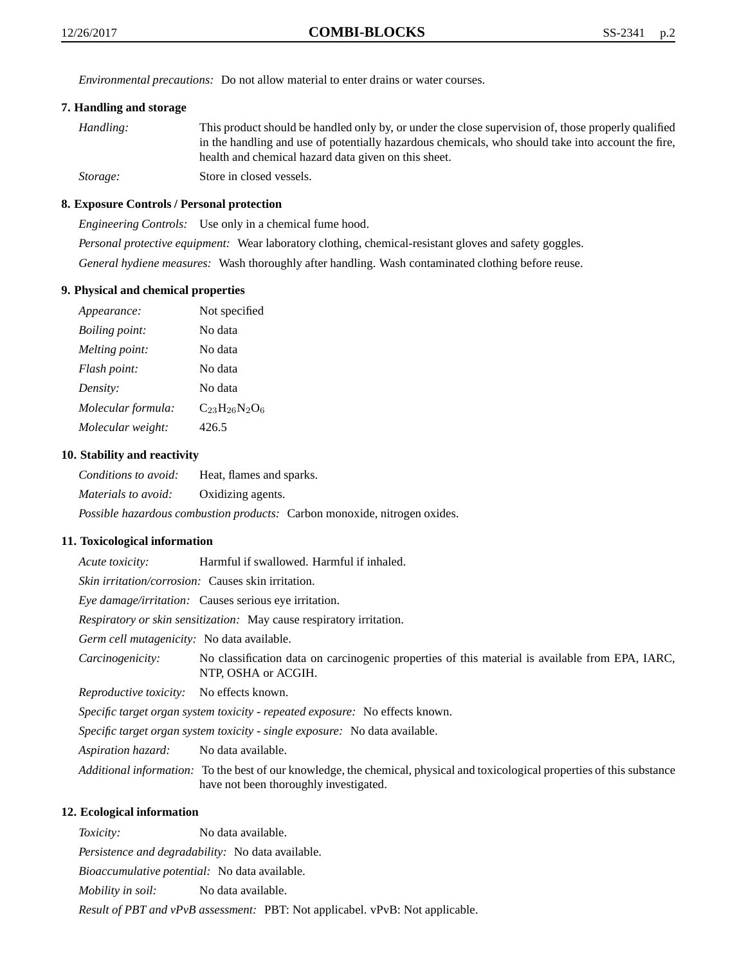*Environmental precautions:* Do not allow material to enter drains or water courses.

# **7. Handling and storage**

| Handling: | This product should be handled only by, or under the close supervision of, those properly qualified |
|-----------|-----------------------------------------------------------------------------------------------------|
|           | in the handling and use of potentially hazardous chemicals, who should take into account the fire,  |
|           | health and chemical hazard data given on this sheet.                                                |
| Storage:  | Store in closed vessels.                                                                            |

#### **8. Exposure Controls / Personal protection**

*Engineering Controls:* Use only in a chemical fume hood. *Personal protective equipment:* Wear laboratory clothing, chemical-resistant gloves and safety goggles. *General hydiene measures:* Wash thoroughly after handling. Wash contaminated clothing before reuse.

#### **9. Physical and chemical properties**

| Appearance:           | Not specified        |
|-----------------------|----------------------|
| <i>Boiling point:</i> | No data              |
| Melting point:        | No data              |
| Flash point:          | No data              |
| Density:              | No data              |
| Molecular formula:    | $C_{23}H_{26}N_2O_6$ |
| Molecular weight:     | 426.5                |

#### **10. Stability and reactivity**

*Conditions to avoid:* Heat, flames and sparks. *Materials to avoid:* Oxidizing agents. *Possible hazardous combustion products:* Carbon monoxide, nitrogen oxides.

#### **11. Toxicological information**

*Acute toxicity:* Harmful if swallowed. Harmful if inhaled.

*Skin irritation/corrosion:* Causes skin irritation.

*Eye damage/irritation:* Causes serious eye irritation.

*Respiratory or skin sensitization:* May cause respiratory irritation.

*Germ cell mutagenicity:* No data available.

*Carcinogenicity:* No classification data on carcinogenic properties of this material is available from EPA, IARC, NTP, OSHA or ACGIH.

*Reproductive toxicity:* No effects known.

*Specific target organ system toxicity - repeated exposure:* No effects known.

*Specific target organ system toxicity - single exposure:* No data available.

*Aspiration hazard:* No data available.

*Additional information:* To the best of our knowledge, the chemical, physical and toxicological properties of this substance have not been thoroughly investigated.

## **12. Ecological information**

*Toxicity:* No data available.

*Persistence and degradability:* No data available.

*Bioaccumulative potential:* No data available.

*Mobility in soil:* No data available.

*Result of PBT and vPvB assessment:* PBT: Not applicabel. vPvB: Not applicable.